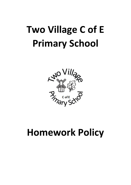

## **Homework Policy**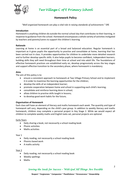

## **Homework Policy**

*"Well organised homework can play a vital role in raising standards of achievement."* DfE

## **Introduction**

Homework is anything children do outside the normal school day that contributes to their learning, in response to guidance from the school. Homework encompasses a whole variety of activities instigated by teachers and parents/carers to support the children's learning.

## **Rationale**

Learning at home is an essential part of a broad and balanced education. Regular homework is important as it gives pupils the opportunity to practise and consolidate at home, learning that has been carried out in class. It provides opportunities for children to undertake more detailed research and to further develop specific skills. It also helps pupils to become confident, independent learners, building skills they will need throughout their time at school and into adult life. The foundations of effective homework practices are established early on, develop progressively across the key stages and support effective transition to the secondary phase, where homework is mandatory.

### **Aims**

The aim of this policy is to:

- ensure a consistent approach to homework at Two Village Primary School and to implement it in order to maximise the learning opportunities for the children;
- develop the skills of an independent learner;
- promote cooperation between home and school in supporting each child's learning;
- consolidate and reinforce learning done in school;
- allow children to practise skills taught in lessons;
- to develop good work habits for the future;

## **Organisation of Homework**

Each class will have an element of literacy and maths homework each week. The quantity and type of homework will vary, depending on the child's year group. In addition to weekly literacy and maths homework, children may complete a personal project in Key Stage 2. While we would expect all children to complete weekly maths and English tasks set, personal projects are optional.

### Early Years

- Daily sharing a book, not necessarily a school reading book
- Phonic activities
- Maths activities

### Year 1

- Daily reading, not necessarily a school reading book
- Phonics based work
- A maths activity

## Year 2

- Daily reading, not necessarily a school reading book
- Weekly spellings
- Maths

## *Sowing the Seeds for Success – With God All Things Are Possible*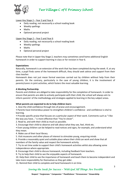

## Lower Key Stage 2 - Year 3 and Year 4

- Daily reading, not necessarily a school reading book
- Weekly spellings
- Maths
- Optional personal project

Upper Key Stage 2 – Year 5 and Year 6

- Daily reading, not necessarily a school reading book
- Weekly spellings
- Maths
- Optional personal project

Please note that in Upper Key Stage 2, teachers may sometimes send home additional English homework in order to support learning in class or for revision in Year 6.

## **Expectations**

Naturally, homework is an extension of the work that has been completed during the week. If, at any time, a pupil finds some of the homework difficult, they should seek advice and support from their class teacher.

Homework does not just mean formal exercises carried out by children without help from their parents. On the contrary, particularly in the case of young children, it is the involvement of parents/carers in joint activities, which fosters the most valuable learning.

## **A Working Partnership**

Parents and children are obliged to take responsibility for the completion of homework. In order to ensure that parents are able to actively participate with their child, the school will always aim to inform parents' of the methodology and strategies applied to learning in the key subject areas.

## **What parents are expected to do to help children learn:**

1. Give the child confidence through lots of praise and encouragement.

• Parents have tremendous power to strengthen children's confidence - and confidence is vital to learning.

• Provide specific praise that focuses on a particular aspect of their work. Comments such as "I like the way you have…" is more effective than "You're clever".

2. Read to, and with their child as much as possible.

3. Encourage their child to observe and talk about what they see, feel, think etc.

• Even young children can be helped to read notices and signs, for example, and understand what they mean.

4. Make use of their local library.

5. Visit museums and other places of interest to stimulate young, enquiring minds

6. Provide a reasonably quiet and suitable place where their child can work and show that all members of the family value and respect the homework activity.

7. Try to set time aside to support their child's homework activities whilst also allowing some independence where appropriate.

8. Encourage their child to discuss homework, including feedback from teachers.

9. Try to help their child to see the enjoyable aspects of homework.

10. Help their child to see the importance of homework and teach them to become independent and take more responsibility for themselves as they get older.

11. Remind their child to complete and hand homework in on time.

## *Sowing the Seeds for Success – With God All Things Are Possible*